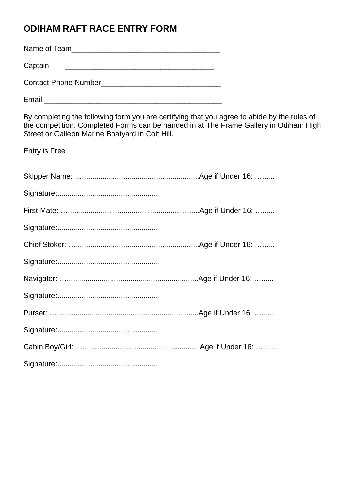## **ODIHAM RAFT RACE ENTRY FORM**

Name of Team\_\_\_\_\_\_\_\_\_\_\_\_\_\_\_\_\_\_\_\_\_\_\_\_\_\_\_\_\_\_\_\_\_\_\_\_ Captain \_\_\_\_\_\_\_\_\_\_\_\_\_\_\_\_\_\_\_\_\_\_\_\_\_\_\_\_\_\_\_\_\_\_\_\_

Contact Phone Number\_\_\_\_\_\_\_\_\_\_\_\_\_\_\_\_\_\_\_\_\_\_\_\_\_\_\_\_\_

Email \_\_\_\_\_\_\_\_\_\_\_\_\_\_\_\_\_\_\_\_\_\_\_\_\_\_\_\_\_\_\_\_\_\_\_\_\_\_\_\_\_\_\_

By completing the following form you are certifying that you agree to abide by the rules of the competition. Completed Forms can be handed in at The Frame Gallery in Odiham High Street or Galleon Marine Boatyard in Colt Hill.

Entry is Free